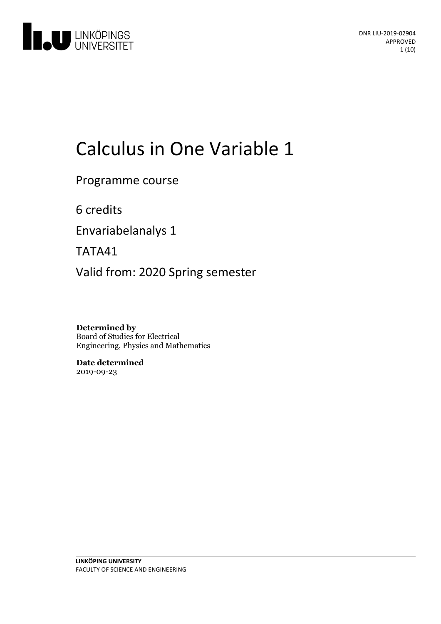

# Calculus in One Variable 1

Programme course

6 credits

Envariabelanalys 1

TATA41

Valid from: 2020 Spring semester

**Determined by** Board of Studies for Electrical Engineering, Physics and Mathematics

**Date determined** 2019-09-23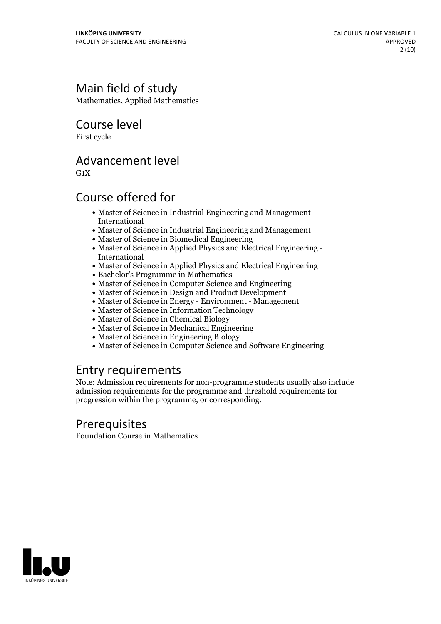# Main field of study

Mathematics, Applied Mathematics

Course level

First cycle

### Advancement level

 $G_1X$ 

# Course offered for

- Master of Science in Industrial Engineering and Management International
- Master of Science in Industrial Engineering and Management
- Master of Science in Biomedical Engineering
- Master of Science in Applied Physics and Electrical Engineering International
- Master of Science in Applied Physics and Electrical Engineering
- Bachelor's Programme in Mathematics
- Master of Science in Computer Science and Engineering
- Master of Science in Design and Product Development
- Master of Science in Energy Environment Management
- Master of Science in Information Technology
- Master of Science in Chemical Biology
- Master of Science in Mechanical Engineering
- Master of Science in Engineering Biology
- Master of Science in Computer Science and Software Engineering

### Entry requirements

Note: Admission requirements for non-programme students usually also include admission requirements for the programme and threshold requirements for progression within the programme, or corresponding.

# Prerequisites

Foundation Course in Mathematics

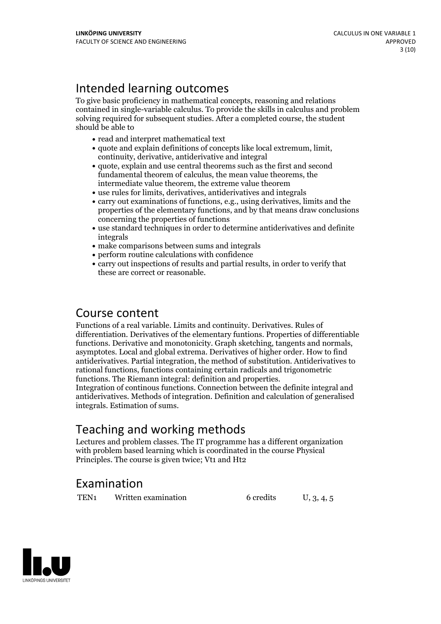# Intended learning outcomes

To give basic proficiency in mathematical concepts, reasoning and relations contained in single-variable calculus. To provide the skills in calculus and problem solving required for subsequent studies. After a completed course, the student should be able to

- read and interpret mathematical text
- quote and explain definitions of concepts like local extremum, limit, continuity, derivative, antiderivative and integral
- quote, explain and use central theorems such as the first and second fundamental theorem of calculus, the mean value theorems, the intermediate value theorem, the extreme value theorem
- use rules for limits, derivatives, antiderivatives and integrals
- carry out examinations of functions, e.g., using derivatives, limits and the properties of the elementary functions, and by that means draw conclusions concerning the properties of functions
- use standard techniques in order to determine antiderivatives and definite integrals
- make comparisons between sums and integrals
- perform routine calculations with confidence
- carry out inspections of results and partial results, in order to verify that these are correct or reasonable.

### Course content

Functions of a real variable. Limits and continuity. Derivatives. Rules of differentiation. Derivatives of the elementary funtions. Properties of differentiable functions. Derivative and monotonicity. Graph sketching, tangents and normals, asymptotes. Local and global extrema. Derivatives of higher order. How to find antiderivatives. Partial integration, the method of substitution. Antiderivatives to rational functions, functions containing certain radicals and trigonometric

Integration of continous functions. Connection between the definite integral and antiderivatives. Methods of integration. Definition and calculation of generalised integrals. Estimation of sums.

# Teaching and working methods

Lectures and problem classes. The IT programme has a different organization with problem based learning which is coordinated in the course Physical Principles. The course is given twice; Vt1 and Ht2

# Examination

TEN<sub>1</sub> Written examination 6 credits U, 3, 4, 5

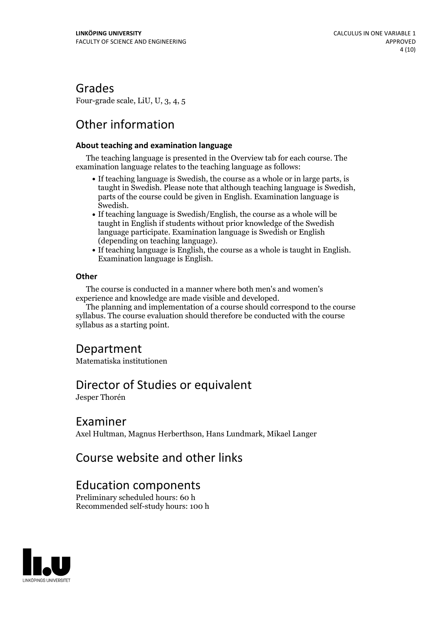### Grades

Four-grade scale, LiU, U, 3, 4, 5

# Other information

#### **About teaching and examination language**

The teaching language is presented in the Overview tab for each course. The examination language relates to the teaching language as follows:

- If teaching language is Swedish, the course as a whole or in large parts, is taught in Swedish. Please note that although teaching language is Swedish, parts of the course could be given in English. Examination language is
- Swedish.<br>• If teaching language is Swedish/English, the course as a whole will be taught in English if students without prior knowledge of the Swedish language participate. Examination language is Swedish or English
- (depending on teaching language).<br>• If teaching language is English, the course as a whole is taught in English.<br>Examination language is English.

#### **Other**

The course is conducted in a manner where both men's and women's

The planning and implementation of a course should correspond to the course syllabus. The course evaluation should therefore be conducted with the course syllabus as a starting point.

### Department

Matematiska institutionen

### Director of Studies or equivalent

Jesper Thorén

### Examiner

Axel Hultman, Magnus Herberthson, Hans Lundmark, Mikael Langer

### Course website and other links

### Education components

Preliminary scheduled hours: 60 h Recommended self-study hours: 100 h

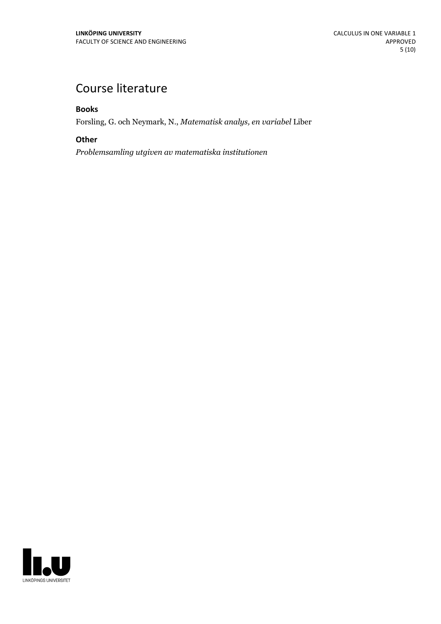# Course literature

**Books**

Forsling, G. och Neymark, N., *Matematisk analys, en variabel* Liber

#### **Other**

*Problemsamling utgiven av matematiska institutionen*

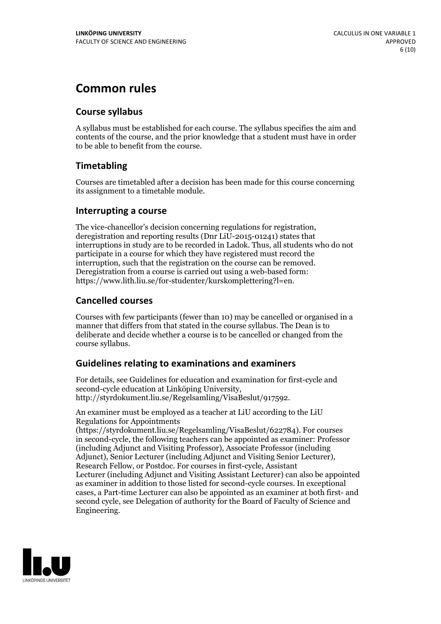# **Common rules**

### **Course syllabus**

A syllabus must be established for each course. The syllabus specifies the aim and contents of the course, and the prior knowledge that a student must have in order to be able to benefit from the course.

### **Timetabling**

Courses are timetabled after a decision has been made for this course concerning its assignment to a timetable module.

### **Interrupting a course**

The vice-chancellor's decision concerning regulations for registration, deregistration and reporting results (Dnr LiU-2015-01241) states that interruptions in study are to be recorded in Ladok. Thus, all students who do not participate in a course for which they have registered must record the interruption, such that the registration on the course can be removed. Deregistration from <sup>a</sup> course is carried outusing <sup>a</sup> web-based form: https://www.lith.liu.se/for-studenter/kurskomplettering?l=en.

### **Cancelled courses**

Courses with few participants (fewer than 10) may be cancelled or organised in a manner that differs from that stated in the course syllabus. The Dean is to deliberate and decide whether a course is to be cancelled or changed from the course syllabus.

### **Guidelines relatingto examinations and examiners**

For details, see Guidelines for education and examination for first-cycle and second-cycle education at Linköping University, http://styrdokument.liu.se/Regelsamling/VisaBeslut/917592.

An examiner must be employed as a teacher at LiU according to the LiU Regulations for Appointments

(https://styrdokument.liu.se/Regelsamling/VisaBeslut/622784). For courses in second-cycle, the following teachers can be appointed as examiner: Professor (including Adjunct and Visiting Professor), Associate Professor (including Adjunct), Senior Lecturer (including Adjunct and Visiting Senior Lecturer), Research Fellow, or Postdoc. For courses in first-cycle, Assistant Lecturer (including Adjunct and Visiting Assistant Lecturer) can also be appointed as examiner in addition to those listed for second-cycle courses. In exceptional cases, a Part-time Lecturer can also be appointed as an examiner at both first- and second cycle, see Delegation of authority for the Board of Faculty of Science and Engineering.

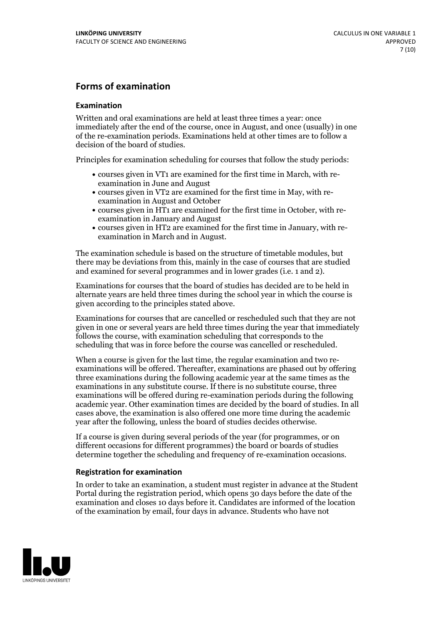### **Forms of examination**

#### **Examination**

Written and oral examinations are held at least three times a year: once immediately after the end of the course, once in August, and once (usually) in one of the re-examination periods. Examinations held at other times are to follow a decision of the board of studies.

Principles for examination scheduling for courses that follow the study periods:

- courses given in VT1 are examined for the first time in March, with re-examination in June and August
- courses given in VT2 are examined for the first time in May, with re-examination in August and October
- courses given in HT1 are examined for the first time in October, with re-examination in January and August
- courses given in HT2 are examined for the first time in January, with re-examination in March and in August.

The examination schedule is based on the structure of timetable modules, but there may be deviations from this, mainly in the case of courses that are studied and examined for several programmes and in lower grades (i.e. 1 and 2).

Examinations for courses that the board of studies has decided are to be held in alternate years are held three times during the school year in which the course is given according to the principles stated above.

Examinations for courses that are cancelled orrescheduled such that they are not given in one or several years are held three times during the year that immediately follows the course, with examination scheduling that corresponds to the scheduling that was in force before the course was cancelled or rescheduled.

When a course is given for the last time, the regular examination and two re-<br>examinations will be offered. Thereafter, examinations are phased out by offering three examinations during the following academic year at the same times as the examinations in any substitute course. If there is no substitute course, three examinations will be offered during re-examination periods during the following academic year. Other examination times are decided by the board of studies. In all cases above, the examination is also offered one more time during the academic year after the following, unless the board of studies decides otherwise.

If a course is given during several periods of the year (for programmes, or on different occasions for different programmes) the board or boards of studies determine together the scheduling and frequency of re-examination occasions.

#### **Registration for examination**

In order to take an examination, a student must register in advance at the Student Portal during the registration period, which opens 30 days before the date of the examination and closes 10 days before it. Candidates are informed of the location of the examination by email, four days in advance. Students who have not

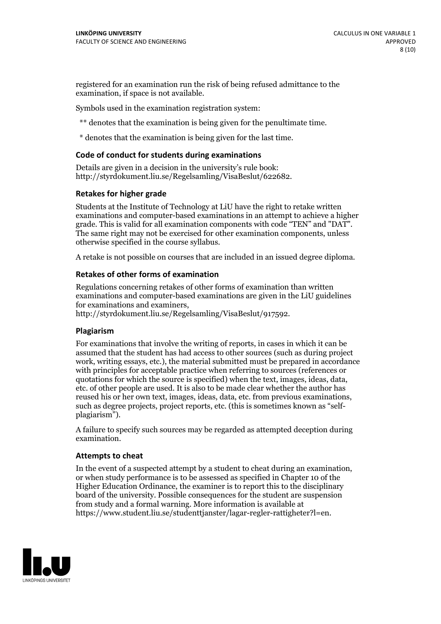registered for an examination run the risk of being refused admittance to the examination, if space is not available.

Symbols used in the examination registration system:

\*\* denotes that the examination is being given for the penultimate time.

\* denotes that the examination is being given for the last time.

#### **Code of conduct for students during examinations**

Details are given in a decision in the university's rule book: http://styrdokument.liu.se/Regelsamling/VisaBeslut/622682.

#### **Retakes for higher grade**

Students at the Institute of Technology at LiU have the right to retake written examinations and computer-based examinations in an attempt to achieve a higher grade. This is valid for all examination components with code "TEN" and "DAT". The same right may not be exercised for other examination components, unless otherwise specified in the course syllabus.

A retake is not possible on courses that are included in an issued degree diploma.

#### **Retakes of other forms of examination**

Regulations concerning retakes of other forms of examination than written examinations and computer-based examinations are given in the LiU guidelines

http://styrdokument.liu.se/Regelsamling/VisaBeslut/917592.

#### **Plagiarism**

For examinations that involve the writing of reports, in cases in which it can be assumed that the student has had access to other sources (such as during project work, writing essays, etc.), the material submitted must be prepared in accordance with principles for acceptable practice when referring to sources (references or quotations for which the source is specified) when the text, images, ideas, data,  $\vec{e}$  etc. of other people are used. It is also to be made clear whether the author has reused his or her own text, images, ideas, data, etc. from previous examinations, such as degree projects, project reports, etc. (this is sometimes known as "self- plagiarism").

A failure to specify such sources may be regarded as attempted deception during examination.

#### **Attempts to cheat**

In the event of <sup>a</sup> suspected attempt by <sup>a</sup> student to cheat during an examination, or when study performance is to be assessed as specified in Chapter <sup>10</sup> of the Higher Education Ordinance, the examiner is to report this to the disciplinary board of the university. Possible consequences for the student are suspension from study and a formal warning. More information is available at https://www.student.liu.se/studenttjanster/lagar-regler-rattigheter?l=en.

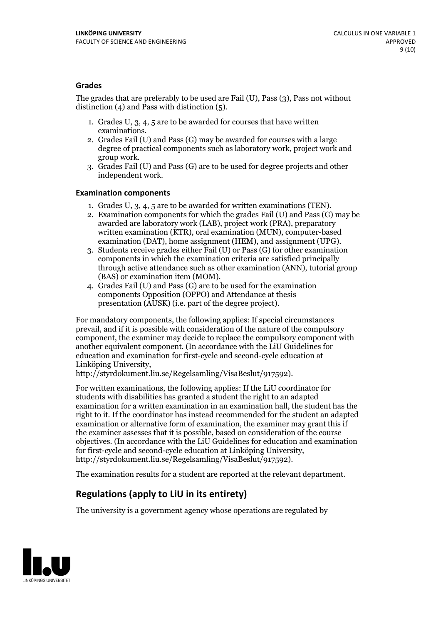#### **Grades**

The grades that are preferably to be used are Fail (U), Pass (3), Pass not without distinction  $(4)$  and Pass with distinction  $(5)$ .

- 1. Grades U, 3, 4, 5 are to be awarded for courses that have written
- examinations. 2. Grades Fail (U) and Pass (G) may be awarded for courses with <sup>a</sup> large degree of practical components such as laboratory work, project work and group work. 3. Grades Fail (U) and Pass (G) are to be used for degree projects and other
- independent work.

#### **Examination components**

- 
- 1. Grades U, 3, 4, <sup>5</sup> are to be awarded for written examinations (TEN). 2. Examination components for which the grades Fail (U) and Pass (G) may be awarded are laboratory work (LAB), project work (PRA), preparatory written examination (KTR), oral examination (MUN), computer-based
- examination (DAT), home assignment (HEM), and assignment (UPG). 3. Students receive grades either Fail (U) or Pass (G) for other examination components in which the examination criteria are satisfied principally through active attendance such as other examination (ANN), tutorial group
- (BAS) or examination item (MOM). 4. Grades Fail (U) and Pass (G) are to be used for the examination components Opposition (OPPO) and Attendance at thesis presentation (AUSK) (i.e. part of the degree project).

For mandatory components, the following applies: If special circumstances prevail, and if it is possible with consideration of the nature of the compulsory component, the examiner may decide to replace the compulsory component with another equivalent component. (In accordance with the LiU Guidelines for education and examination for first-cycle and second-cycle education at Linköping University, http://styrdokument.liu.se/Regelsamling/VisaBeslut/917592).

For written examinations, the following applies: If the LiU coordinator for students with disabilities has granted a student the right to an adapted examination for a written examination in an examination hall, the student has the right to it. If the coordinator has instead recommended for the student an adapted examination or alternative form of examination, the examiner may grant this if the examiner assesses that it is possible, based on consideration of the course objectives. (In accordance with the LiU Guidelines for education and examination for first-cycle and second-cycle education at Linköping University, http://styrdokument.liu.se/Regelsamling/VisaBeslut/917592).

The examination results for a student are reported at the relevant department.

### **Regulations (applyto LiU in its entirety)**

The university is a government agency whose operations are regulated by